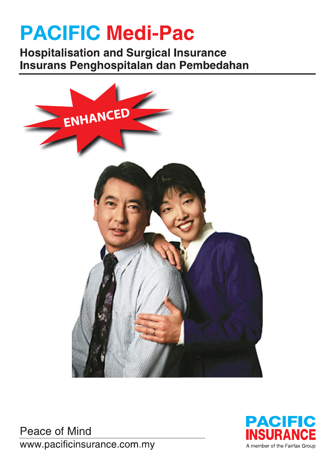# **PACIFIC Medi-Pac**

**Hospitalisation and Surgical Insurance** Insurans Penghospitalan dan Pembedahan



**Peace of Mind** www.pacificinsurance.com.my

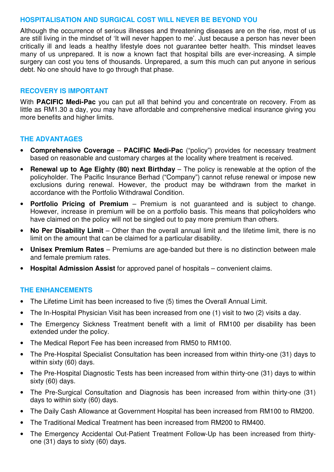#### **HOSPITALISATION AND SURGICAL COST WILL NEVER BE BEYOND YOU**

Although the occurrence of serious illnesses and threatening diseases are on the rise, most of us are still living in the mindset of 'It will never happen to me'. Just because a person has never been critically ill and leads a healthy lifestyle does not guarantee better health. This mindset leaves many of us unprepared. It is now a known fact that hospital bills are ever-increasing. A simple surgery can cost you tens of thousands. Unprepared, a sum this much can put anyone in serious debt. No one should have to go through that phase.

### **RECOVERY IS IMPORTANT**

With **PACIFIC Medi-Pac** you can put all that behind you and concentrate on recovery. From as little as RM1.30 a day, you may have affordable and comprehensive medical insurance giving you more benefits and higher limits.

### **THE ADVANTAGES**

- **Comprehensive Coverage PACIFIC Medi-Pac** ("policy") provides for necessary treatment based on reasonable and customary charges at the locality where treatment is received.
- **Renewal up to Age Eighty (80) next Birthday** The policy is renewable at the option of the policyholder. The Pacific Insurance Berhad ("Company") cannot refuse renewal or impose new exclusions during renewal. However, the product may be withdrawn from the market in accordance with the Portfolio Withdrawal Condition.
- **Portfolio Pricing of Premium** Premium is not guaranteed and is subject to change. However, increase in premium will be on a portfolio basis. This means that policyholders who have claimed on the policy will not be singled out to pay more premium than others.
- **No Per Disability Limit** Other than the overall annual limit and the lifetime limit, there is no limit on the amount that can be claimed for a particular disability.
- **Unisex Premium Rates** Premiums are age-banded but there is no distinction between male and female premium rates.
- **Hospital Admission Assist** for approved panel of hospitals convenient claims.

#### **THE ENHANCEMENTS**

- The Lifetime Limit has been increased to five (5) times the Overall Annual Limit.
- The In-Hospital Physician Visit has been increased from one (1) visit to two (2) visits a day.
- The Emergency Sickness Treatment benefit with a limit of RM100 per disability has been extended under the policy.
- The Medical Report Fee has been increased from RM50 to RM100.
- The Pre-Hospital Specialist Consultation has been increased from within thirty-one (31) days to within sixty (60) days.
- The Pre-Hospital Diagnostic Tests has been increased from within thirty-one (31) days to within sixty (60) days.
- The Pre-Surgical Consultation and Diagnosis has been increased from within thirty-one (31) days to within sixty (60) days.
- The Daily Cash Allowance at Government Hospital has been increased from RM100 to RM200.
- The Traditional Medical Treatment has been increased from RM200 to RM400.
- The Emergency Accidental Out-Patient Treatment Follow-Up has been increased from thirtyone (31) days to sixty (60) days.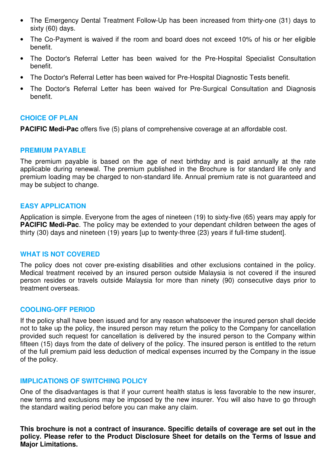- The Emergency Dental Treatment Follow-Up has been increased from thirty-one (31) days to sixty (60) days.
- The Co-Payment is waived if the room and board does not exceed 10% of his or her eligible benefit.
- The Doctor's Referral Letter has been waived for the Pre-Hospital Specialist Consultation benefit.
- The Doctor's Referral Letter has been waived for Pre-Hospital Diagnostic Tests benefit.
- The Doctor's Referral Letter has been waived for Pre-Surgical Consultation and Diagnosis benefit.

### **CHOICE OF PLAN**

**PACIFIC Medi-Pac** offers five (5) plans of comprehensive coverage at an affordable cost.

### **PREMIUM PAYABLE**

The premium payable is based on the age of next birthday and is paid annually at the rate applicable during renewal. The premium published in the Brochure is for standard life only and premium loading may be charged to non-standard life. Annual premium rate is not guaranteed and may be subject to change.

#### **EASY APPLICATION**

Application is simple. Everyone from the ages of nineteen (19) to sixty-five (65) years may apply for **PACIFIC Medi-Pac**. The policy may be extended to your dependant children between the ages of thirty (30) days and nineteen (19) years [up to twenty-three (23) years if full-time student].

#### **WHAT IS NOT COVERED**

The policy does not cover pre-existing disabilities and other exclusions contained in the policy. Medical treatment received by an insured person outside Malaysia is not covered if the insured person resides or travels outside Malaysia for more than ninety (90) consecutive days prior to treatment overseas.

#### **COOLING-OFF PERIOD**

If the policy shall have been issued and for any reason whatsoever the insured person shall decide not to take up the policy, the insured person may return the policy to the Company for cancellation provided such request for cancellation is delivered by the insured person to the Company within fifteen (15) days from the date of delivery of the policy. The insured person is entitled to the return of the full premium paid less deduction of medical expenses incurred by the Company in the issue of the policy.

#### **IMPLICATIONS OF SWITCHING POLICY**

One of the disadvantages is that if your current health status is less favorable to the new insurer, new terms and exclusions may be imposed by the new insurer. You will also have to go through the standard waiting period before you can make any claim.

**This brochure is not a contract of insurance. Specific details of coverage are set out in the policy. Please refer to the Product Disclosure Sheet for details on the Terms of Issue and Major Limitations.**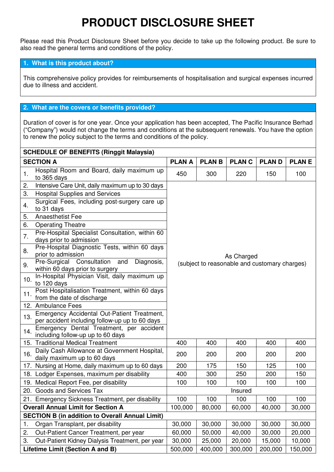# **PRODUCT DISCLOSURE SHEET**

Please read this Product Disclosure Sheet before you decide to take up the following product. Be sure to also read the general terms and conditions of the policy.

#### **1. What is this product about?**

This comprehensive policy provides for reimbursements of hospitalisation and surgical expenses incurred due to illness and accident.

#### **2. What are the covers or benefits provided?**

Duration of cover is for one year. Once your application has been accepted, The Pacific Insurance Berhad ("Company") would not change the terms and conditions at the subsequent renewals. You have the option to renew the policy subject to the terms and conditions of the policy.

| <b>SCHEDULE OF BENEFITS (Ringgit Malaysia)</b> |                                                                                               |                                                               |         |            |         |              |
|------------------------------------------------|-----------------------------------------------------------------------------------------------|---------------------------------------------------------------|---------|------------|---------|--------------|
|                                                | <b>SECTION A</b>                                                                              | <b>PLAN A</b><br><b>PLANB</b><br><b>PLANC</b><br><b>PLAND</b> |         |            |         | <b>PLANE</b> |
| 1.                                             | Hospital Room and Board, daily maximum up<br>to 365 days                                      | 450                                                           | 300     | 220        | 150     | 100          |
| 2.                                             | Intensive Care Unit, daily maximum up to 30 days                                              |                                                               |         |            |         |              |
| 3.                                             | <b>Hospital Supplies and Services</b>                                                         |                                                               |         |            |         |              |
| 4.                                             | Surgical Fees, including post-surgery care up<br>to 31 days                                   |                                                               |         |            |         |              |
| 5.                                             | <b>Anaesthetist Fee</b>                                                                       |                                                               |         |            |         |              |
| 6.                                             | <b>Operating Theatre</b>                                                                      |                                                               |         |            |         |              |
| 7.                                             | Pre-Hospital Specialist Consultation, within 60<br>days prior to admission                    |                                                               |         |            |         |              |
| 8.                                             | Pre-Hospital Diagnostic Tests, within 60 days<br>prior to admission                           |                                                               |         | As Charged |         |              |
| 9.                                             | Consultation<br>Pre-Surgical<br>Diagnosis,<br>and<br>within 60 days prior to surgery          | (subject to reasonable and customary charges)                 |         |            |         |              |
| 10.                                            | In-Hospital Physician Visit, daily maximum up<br>to 120 days                                  |                                                               |         |            |         |              |
| 11.                                            | Post Hospitalisation Treatment, within 60 days<br>from the date of discharge                  |                                                               |         |            |         |              |
|                                                | 12. Ambulance Fees                                                                            |                                                               |         |            |         |              |
| 13.                                            | Emergency Accidental Out-Patient Treatment,<br>per accident including follow-up up to 60 days |                                                               |         |            |         |              |
| 14.                                            | Emergency Dental Treatment, per accident<br>including follow-up up to 60 days                 |                                                               |         |            |         |              |
|                                                | 15. Traditional Medical Treatment                                                             | 400                                                           | 400     | 400        | 400     | 400          |
| 16.                                            | Daily Cash Allowance at Government Hospital,<br>daily maximum up to 60 days                   | 200                                                           | 200     | 200        | 200     | 200          |
|                                                | 17. Nursing at Home, daily maximum up to 60 days                                              | 200                                                           | 175     | 150        | 125     | 100          |
|                                                | 18. Lodger Expenses, maximum per disability                                                   | 400                                                           | 300     | 250        | 200     | 150          |
|                                                | 19. Medical Report Fee, per disability                                                        | 100                                                           | 100     | 100        | 100     | 100          |
|                                                | 20. Goods and Services Tax                                                                    |                                                               |         | Insured    |         |              |
|                                                | 21. Emergency Sickness Treatment, per disability                                              | 100                                                           | 100     | 100        | 100     | 100          |
|                                                | <b>Overall Annual Limit for Section A</b>                                                     | 100,000                                                       | 80,000  | 60,000     | 40,000  | 30,000       |
|                                                | <b>SECTION B (in addition to Overall Annual Limit)</b>                                        |                                                               |         |            |         |              |
| 1.                                             | Organ Transplant, per disability                                                              | 30,000                                                        | 30,000  | 30,000     | 30,000  | 30,000       |
| 2.                                             | Out-Patient Cancer Treatment, per year                                                        | 60,000                                                        | 50,000  | 40,000     | 30,000  | 20,000       |
| 3.                                             | Out-Patient Kidney Dialysis Treatment, per year                                               | 30,000                                                        | 25,000  | 20,000     | 15,000  | 10,000       |
|                                                | Lifetime Limit (Section A and B)                                                              | 500,000                                                       | 400,000 | 300,000    | 200,000 | 150,000      |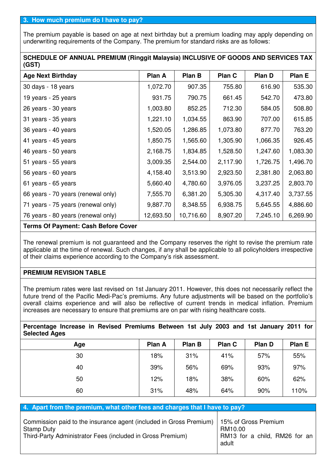The premium payable is based on age at next birthday but a premium loading may apply depending on underwriting requirements of the Company. The premium for standard risks are as follows:

| SCHEDULE OF ANNUAL PREMIUM (Ringgit Malaysia) INCLUSIVE OF GOODS AND SERVICES TAX |  |
|-----------------------------------------------------------------------------------|--|
| (GST)                                                                             |  |

| <b>Age Next Birthday</b>           | Plan A    | Plan B    | Plan C   | Plan D   | Plan E   |
|------------------------------------|-----------|-----------|----------|----------|----------|
| 30 days - 18 years                 | 1,072.70  | 907.35    | 755.80   | 616.90   | 535.30   |
| 19 years - 25 years                | 931.75    | 790.75    | 661.45   | 542.70   | 473.80   |
| 26 years - 30 years                | 1,003.80  | 852.25    | 712.30   | 584.05   | 508.80   |
| 31 years - 35 years                | 1,221.10  | 1,034.55  | 863.90   | 707.00   | 615.85   |
| 36 years - 40 years                | 1,520.05  | 1,286.85  | 1,073.80 | 877.70   | 763.20   |
| 41 years - 45 years                | 1,850.75  | 1,565.60  | 1,305.90 | 1,066.35 | 926.45   |
| 46 years - 50 years                | 2,168.75  | 1,834.85  | 1,528.50 | 1,247.60 | 1,083.30 |
| 51 years - 55 years                | 3,009.35  | 2,544.00  | 2,117.90 | 1,726.75 | 1,496.70 |
| 56 years - 60 years                | 4,158.40  | 3,513.90  | 2,923.50 | 2,381.80 | 2,063.80 |
| 61 years - 65 years                | 5,660.40  | 4,780.60  | 3,976.05 | 3,237.25 | 2,803.70 |
| 66 years - 70 years (renewal only) | 7,555.70  | 6,381.20  | 5,305.30 | 4,317.40 | 3,737.55 |
| 71 years - 75 years (renewal only) | 9,887.70  | 8,348.55  | 6,938.75 | 5,645.55 | 4,886.60 |
| 76 years - 80 years (renewal only) | 12,693.50 | 10,716.60 | 8,907.20 | 7,245.10 | 6,269.90 |
|                                    |           |           |          |          |          |

#### **Terms Of Payment: Cash Before Cover**

The renewal premium is not guaranteed and the Company reserves the right to revise the premium rate applicable at the time of renewal. Such changes, if any shall be applicable to all policyholders irrespective of their claims experience according to the Company's risk assessment.

#### **PREMIUM REVISION TABLE**

The premium rates were last revised on 1st January 2011. However, this does not necessarily reflect the future trend of the Pacific Medi-Pac's premiums. Any future adjustments will be based on the portfolio's overall claims experience and will also be reflective of current trends in medical inflation. Premium increases are necessary to ensure that premiums are on par with rising healthcare costs.

**Percentage Increase in Revised Premiums Between 1st July 2003 and 1st January 2011 for Selected Ages** 

| Age | Plan A | Plan B | Plan C | Plan D | Plan E |
|-----|--------|--------|--------|--------|--------|
| 30  | 18%    | 31%    | 41%    | 57%    | 55%    |
| 40  | 39%    | 56%    | 69%    | 93%    | 97%    |
| 50  | 12%    | 18%    | 38%    | 60%    | 62%    |
| 60  | 31%    | 48%    | 64%    | 90%    | 110%   |

| 4. Apart from the premium, what other fees and charges that I have to pay?                                                                            |                                                                           |  |  |  |  |  |  |
|-------------------------------------------------------------------------------------------------------------------------------------------------------|---------------------------------------------------------------------------|--|--|--|--|--|--|
| Commission paid to the insurance agent (included in Gross Premium)<br><b>Stamp Duty</b><br>Third-Party Administrator Fees (included in Gross Premium) | 15% of Gross Premium<br>RM10.00<br>RM13 for a child, RM26 for an<br>adult |  |  |  |  |  |  |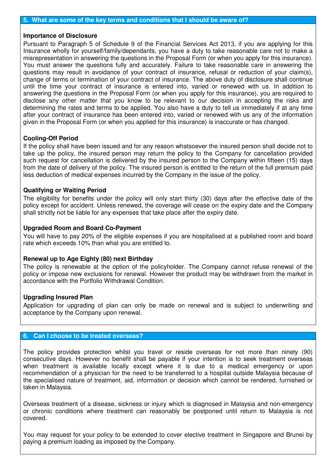#### **5. What are some of the key terms and conditions that I should be aware of?**

#### **Importance of Disclosure**

Pursuant to Paragraph 5 of Schedule 9 of the Financial Services Act 2013, if you are applying for this Insurance wholly for yourself/family/dependants, you have a duty to take reasonable care not to make a misrepresentation in answering the questions in the Proposal Form (or when you apply for this insurance). You must answer the questions fully and accurately. Failure to take reasonable care in answering the questions may result in avoidance of your contract of insurance, refusal or reduction of your claim(s), change of terms or termination of your contract of insurance. The above duty of disclosure shall continue until the time your contract of insurance is entered into, varied or renewed with us. In addition to answering the questions in the Proposal Form (or when you apply for this insurance), you are required to disclose any other matter that you know to be relevant to our decision in accepting the risks and determining the rates and terms to be applied. You also have a duty to tell us immediately if at any time after your contract of insurance has been entered into, varied or renewed with us any of the information given in the Proposal Form (or when you applied for this insurance) is inaccurate or has changed.

#### **Cooling-Off Period**

If the policy shall have been issued and for any reason whatsoever the insured person shall decide not to take up the policy, the insured person may return the policy to the Company for cancellation provided such request for cancellation is delivered by the insured person to the Company within fifteen (15) days from the date of delivery of the policy. The insured person is entitled to the return of the full premium paid less deduction of medical expenses incurred by the Company in the issue of the policy.

#### **Qualifying or Waiting Period**

The eligibility for benefits under the policy will only start thirty (30) days after the effective date of the policy except for accident. Unless renewed, the coverage will cease on the expiry date and the Company shall strictly not be liable for any expenses that take place after the expiry date.

#### **Upgraded Room and Board Co-Payment**

You will have to pay 20% of the eligible expenses if you are hospitalised at a published room and board rate which exceeds 10% than what you are entitled to.

#### **Renewal up to Age Eighty (80) next Birthday**

The policy is renewable at the option of the policyholder. The Company cannot refuse renewal of the policy or impose new exclusions for renewal. However the product may be withdrawn from the market in accordance with the Portfolio Withdrawal Condition.

#### **Upgrading Insured Plan**

Application for upgrading of plan can only be made on renewal and is subject to underwriting and acceptance by the Company upon renewal.

#### **6. Can I choose to be treated overseas?**

The policy provides protection whilst you travel or reside overseas for not more than ninety (90) consecutive days. However no benefit shall be payable if your intention is to seek treatment overseas when treatment is available locally except where it is due to a medical emergency or upon recommendation of a physician for the need to be transferred to a hospital outside Malaysia because of the specialised nature of treatment, aid, information or decision which cannot be rendered, furnished or taken in Malaysia.

Overseas treatment of a disease, sickness or injury which is diagnosed in Malaysia and non-emergency or chronic conditions where treatment can reasonably be postponed until return to Malaysia is not covered.

You may request for your policy to be extended to cover elective treatment in Singapore and Brunei by paying a premium loading as imposed by the Company.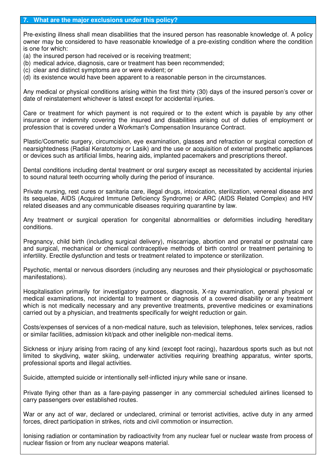Pre-existing illness shall mean disabilities that the insured person has reasonable knowledge of. A policy owner may be considered to have reasonable knowledge of a pre-existing condition where the condition is one for which:

- (a) the insured person had received or is receiving treatment;
- (b) medical advice, diagnosis, care or treatment has been recommended;
- (c) clear and distinct symptoms are or were evident; or
- (d) its existence would have been apparent to a reasonable person in the circumstances.

Any medical or physical conditions arising within the first thirty (30) days of the insured person's cover or date of reinstatement whichever is latest except for accidental injuries.

Care or treatment for which payment is not required or to the extent which is payable by any other insurance or indemnity covering the insured and disabilities arising out of duties of employment or profession that is covered under a Workman's Compensation Insurance Contract.

Plastic/Cosmetic surgery, circumcision, eye examination, glasses and refraction or surgical correction of nearsightedness (Radial Keratotomy or Lasik) and the use or acquisition of external prosthetic appliances or devices such as artificial limbs, hearing aids, implanted pacemakers and prescriptions thereof.

Dental conditions including dental treatment or oral surgery except as necessitated by accidental injuries to sound natural teeth occurring wholly during the period of insurance.

Private nursing, rest cures or sanitaria care, illegal drugs, intoxication, sterilization, venereal disease and its sequelae, AIDS (Acquired Immune Deficiency Syndrome) or ARC (AIDS Related Complex) and HIV related diseases and any communicable diseases requiring quarantine by law.

Any treatment or surgical operation for congenital abnormalities or deformities including hereditary conditions.

Pregnancy, child birth (including surgical delivery), miscarriage, abortion and prenatal or postnatal care and surgical, mechanical or chemical contraceptive methods of birth control or treatment pertaining to infertility. Erectile dysfunction and tests or treatment related to impotence or sterilization.

Psychotic, mental or nervous disorders (including any neuroses and their physiological or psychosomatic manifestations).

Hospitalisation primarily for investigatory purposes, diagnosis, X-ray examination, general physical or medical examinations, not incidental to treatment or diagnosis of a covered disability or any treatment which is not medically necessary and any preventive treatments, preventive medicines or examinations carried out by a physician, and treatments specifically for weight reduction or gain.

Costs/expenses of services of a non-medical nature, such as television, telephones, telex services, radios or similar facilities, admission kit/pack and other ineligible non-medical items.

Sickness or injury arising from racing of any kind (except foot racing), hazardous sports such as but not limited to skydiving, water skiing, underwater activities requiring breathing apparatus, winter sports, professional sports and illegal activities.

Suicide, attempted suicide or intentionally self-inflicted injury while sane or insane.

Private flying other than as a fare-paying passenger in any commercial scheduled airlines licensed to carry passengers over established routes.

War or any act of war, declared or undeclared, criminal or terrorist activities, active duty in any armed forces, direct participation in strikes, riots and civil commotion or insurrection.

Ionising radiation or contamination by radioactivity from any nuclear fuel or nuclear waste from process of nuclear fission or from any nuclear weapons material.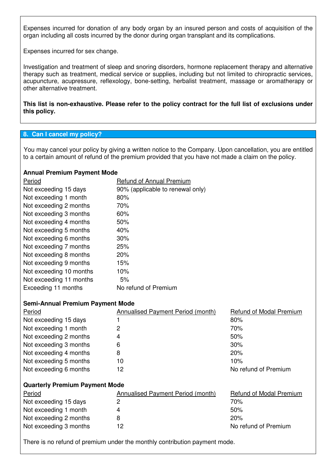Expenses incurred for donation of any body organ by an insured person and costs of acquisition of the organ including all costs incurred by the donor during organ transplant and its complications.

Expenses incurred for sex change.

Investigation and treatment of sleep and snoring disorders, hormone replacement therapy and alternative therapy such as treatment, medical service or supplies, including but not limited to chiropractic services, acupuncture, acupressure, reflexology, bone-setting, herbalist treatment, massage or aromatherapy or other alternative treatment.

**This list is non-exhaustive. Please refer to the policy contract for the full list of exclusions under this policy.** 

#### **8. Can I cancel my policy?**

You may cancel your policy by giving a written notice to the Company. Upon cancellation, you are entitled to a certain amount of refund of the premium provided that you have not made a claim on the policy.

#### **Annual Premium Payment Mode**

| Period                  | <b>Refund of Annual Premium</b>  |
|-------------------------|----------------------------------|
| Not exceeding 15 days   | 90% (applicable to renewal only) |
| Not exceeding 1 month   | 80%                              |
| Not exceeding 2 months  | 70%                              |
| Not exceeding 3 months  | 60%                              |
| Not exceeding 4 months  | 50%                              |
| Not exceeding 5 months  | 40%                              |
| Not exceeding 6 months  | 30%                              |
| Not exceeding 7 months  | 25%                              |
| Not exceeding 8 months  | 20%                              |
| Not exceeding 9 months  | 15%                              |
| Not exceeding 10 months | 10%                              |
| Not exceeding 11 months | 5%                               |
| Exceeding 11 months     | No refund of Premium             |

#### **Semi-Annual Premium Payment Mode**

| Period                                | Annualised Payment Period (month) | <b>Refund of Modal Premium</b> |  |  |  |  |
|---------------------------------------|-----------------------------------|--------------------------------|--|--|--|--|
| Not exceeding 15 days                 |                                   | 80%                            |  |  |  |  |
| Not exceeding 1 month                 | 2                                 | 70%                            |  |  |  |  |
| Not exceeding 2 months                | 4                                 | 50%                            |  |  |  |  |
| Not exceeding 3 months                | 6                                 | 30%                            |  |  |  |  |
| Not exceeding 4 months                | 8                                 | 20%                            |  |  |  |  |
| Not exceeding 5 months                | 10                                | 10%                            |  |  |  |  |
| Not exceeding 6 months                | 12                                | No refund of Premium           |  |  |  |  |
| <b>Quarterly Premium Payment Mode</b> |                                   |                                |  |  |  |  |
| Period                                | Annualised Payment Period (month) | <b>Refund of Modal Premium</b> |  |  |  |  |
| Not exceeding 15 days                 | 2                                 | 70%                            |  |  |  |  |
| Not exceeding 1 month                 | 4                                 | 50%                            |  |  |  |  |
| Not exceeding 2 months                | 8                                 | 20%                            |  |  |  |  |
| Not exceeding 3 months                | 12                                | No refund of Premium           |  |  |  |  |

There is no refund of premium under the monthly contribution payment mode.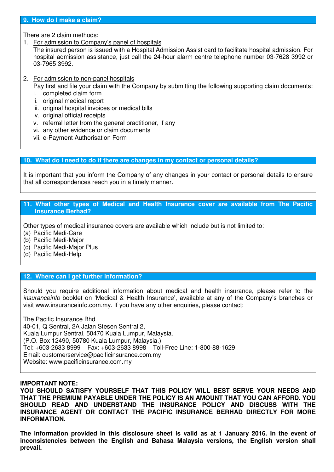#### **9. How do I make a claim?**

There are 2 claim methods:

1. For admission to Company's panel of hospitals

The insured person is issued with a Hospital Admission Assist card to facilitate hospital admission. For hospital admission assistance, just call the 24-hour alarm centre telephone number 03-7628 3992 or 03-7965 3992.

- 2. For admission to non-panel hospitals Pay first and file your claim with the Company by submitting the following supporting claim documents:
	- i. completed claim form
	- ii. original medical report
	- iii. original hospital invoices or medical bills
	- iv. original official receipts
	- v. referral letter from the general practitioner, if any
	- vi. any other evidence or claim documents
	- vii. e-Payment Authorisation Form

#### **10. What do I need to do if there are changes in my contact or personal details?**

It is important that you inform the Company of any changes in your contact or personal details to ensure that all correspondences reach you in a timely manner.

#### **11. What other types of Medical and Health Insurance cover are available from The Pacific Insurance Berhad?**

Other types of medical insurance covers are available which include but is not limited to:

(a) Pacific Medi-Care

(b) Pacific Medi-Major

- (c) Pacific Medi-Major Plus
- (d) Pacific Medi-Help

#### **12. Where can I get further information?**

Should you require additional information about medical and health insurance, please refer to the insuranceinfo booklet on 'Medical & Health Insurance', available at any of the Company's branches or visit www.insuranceinfo.com.my. If you have any other enquiries, please contact:

The Pacific Insurance Bhd 40-01, Q Sentral, 2A Jalan Stesen Sentral 2, Kuala Lumpur Sentral, 50470 Kuala Lumpur, Malaysia. (P.O. Box 12490, 50780 Kuala Lumpur, Malaysia.) Tel: +603-2633 8999 Fax: +603-2633 8998 Toll-Free Line: 1-800-88-1629 Email: customerservice@pacificinsurance.com.my Website: www.pacificinsurance.com.my

#### **IMPORTANT NOTE:**

**YOU SHOULD SATISFY YOURSELF THAT THIS POLICY WILL BEST SERVE YOUR NEEDS AND THAT THE PREMIUM PAYABLE UNDER THE POLICY IS AN AMOUNT THAT YOU CAN AFFORD. YOU SHOULD READ AND UNDERSTAND THE INSURANCE POLICY AND DISCUSS WITH THE INSURANCE AGENT OR CONTACT THE PACIFIC INSURANCE BERHAD DIRECTLY FOR MORE INFORMATION.** 

**The information provided in this disclosure sheet is valid as at 1 January 2016. In the event of inconsistencies between the English and Bahasa Malaysia versions, the English version shall prevail.**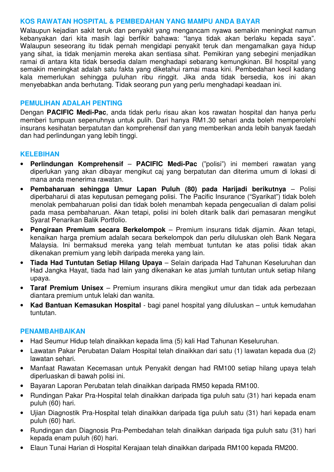### **KOS RAWATAN HOSPITAL & PEMBEDAHAN YANG MAMPU ANDA BAYAR**

Walaupun kejadian sakit teruk dan penyakit yang mengancam nyawa semakin meningkat namun kebanyakan dari kita masih lagi berfikir bahawa: "lanya tidak akan berlaku kepada saya". Walaupun seseorang itu tidak pernah mengidapi penyakit teruk dan mengamalkan gaya hidup yang sihat, ia tidak menjamin mereka akan sentiasa sihat. Pemikiran yang sebegini menjadikan ramai di antara kita tidak bersedia dalam menghadapi sebarang kemungkinan. Bil hospital yang semakin meningkat adalah satu fakta yang diketahui ramai masa kini. Pembedahan kecil kadang kala memerlukan sehingga puluhan ribu ringgit. Jika anda tidak bersedia, kos ini akan menyebabkan anda berhutang. Tidak seorang pun yang perlu menghadapi keadaan ini.

### **PEMULIHAN ADALAH PENTING**

Dengan **PACIFIC Medi-Pac**, anda tidak perlu risau akan kos rawatan hospital dan hanya perlu memberi tumpuan sepenuhnya untuk pulih. Dari hanya RM1.30 sehari anda boleh memperolehi insurans kesihatan berpatutan dan komprehensif dan yang memberikan anda lebih banyak faedah dan had perlindungan yang lebih tinggi.

### **KELEBIHAN**

- **Perlindungan Komprehensif PACIFIC Medi-Pac** ("polisi") ini memberi rawatan yang diperlukan yang akan dibayar mengikut caj yang berpatutan dan diterima umum di lokasi di mana anda menerima rawatan.
- **Pembaharuan sehingga Umur Lapan Puluh (80) pada Harijadi berikutnya**  Polisi diperbaharui di atas keputusan pemegang polisi. The Pacific Insurance ("Syarikat") tidak boleh menolak pembaharuan polisi dan tidak boleh menambah kepada pengecualian di dalam polisi pada masa pembaharuan. Akan tetapi, polisi ini boleh ditarik balik dari pemasaran mengikut Syarat Penarikan Balik Portfolio.
- **Pengiraan Premium secara Berkelompok** Premium insurans tidak dijamin. Akan tetapi, kenaikan harga premium adalah secara berkelompok dan perlu diluluskan oleh Bank Negara Malaysia. Ini bermaksud mereka yang telah membuat tuntutan ke atas polisi tidak akan dikenakan premium yang lebih daripada mereka yang lain.
- **Tiada Had Tuntutan Setiap Hilang Upaya** Selain daripada Had Tahunan Keseluruhan dan Had Jangka Hayat, tiada had lain yang dikenakan ke atas jumlah tuntutan untuk setiap hilang upaya.
- **Taraf Premium Unisex** Premium insurans dikira mengikut umur dan tidak ada perbezaan diantara premium untuk lelaki dan wanita.
- **Kad Bantuan Kemasukan Hospital** bagi panel hospital yang diluluskan untuk kemudahan tuntutan.

#### **PENAMBAHBAIKAN**

- Had Seumur Hidup telah dinaikkan kepada lima (5) kali Had Tahunan Keseluruhan.
- Lawatan Pakar Perubatan Dalam Hospital telah dinaikkan dari satu (1) lawatan kepada dua (2) lawatan sehari.
- Manfaat Rawatan Kecemasan untuk Penyakit dengan had RM100 setiap hilang upaya telah diperluaskan di bawah polisi ini.
- Bayaran Laporan Perubatan telah dinaikkan daripada RM50 kepada RM100.
- Rundingan Pakar Pra-Hospital telah dinaikkan daripada tiga puluh satu (31) hari kepada enam puluh (60) hari.
- Ujian Diagnostik Pra-Hospital telah dinaikkan daripada tiga puluh satu (31) hari kepada enam puluh (60) hari.
- Rundingan dan Diagnosis Pra-Pembedahan telah dinaikkan daripada tiga puluh satu (31) hari kepada enam puluh (60) hari.
- Elaun Tunai Harian di Hospital Kerajaan telah dinaikkan daripada RM100 kepada RM200.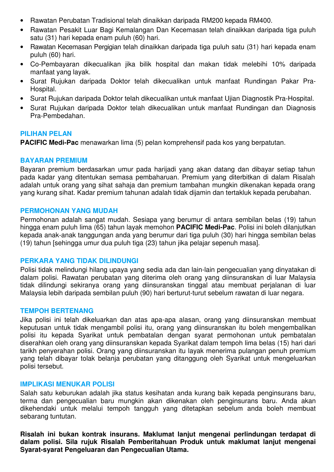- Rawatan Perubatan Tradisional telah dinaikkan daripada RM200 kepada RM400.
- Rawatan Pesakit Luar Bagi Kemalangan Dan Kecemasan telah dinaikkan daripada tiga puluh satu (31) hari kepada enam puluh (60) hari.
- Rawatan Kecemasan Pergigian telah dinaikkan daripada tiga puluh satu (31) hari kepada enam puluh (60) hari.
- Co-Pembayaran dikecualikan jika bilik hospital dan makan tidak melebihi 10% daripada manfaat yang layak.
- Surat Rujukan daripada Doktor telah dikecualikan untuk manfaat Rundingan Pakar Pra-Hospital.
- Surat Rujukan daripada Doktor telah dikecualikan untuk manfaat Ujian Diagnostik Pra-Hospital.
- Surat Rujukan daripada Doktor telah dikecualikan untuk manfaat Rundingan dan Diagnosis Pra-Pembedahan.

#### **PILIHAN PELAN**

**PACIFIC Medi-Pac** menawarkan lima (5) pelan komprehensif pada kos yang berpatutan.

#### **BAYARAN PREMIUM**

Bayaran premium berdasarkan umur pada harijadi yang akan datang dan dibayar setiap tahun pada kadar yang ditentukan semasa pembaharuan. Premium yang diterbitkan di dalam Risalah adalah untuk orang yang sihat sahaja dan premium tambahan mungkin dikenakan kepada orang yang kurang sihat. Kadar premium tahunan adalah tidak dijamin dan tertakluk kepada perubahan.

#### **PERMOHONAN YANG MUDAH**

Permohonan adalah sangat mudah. Sesiapa yang berumur di antara sembilan belas (19) tahun hingga enam puluh lima (65) tahun layak memohon **PACIFIC Medi-Pac**. Polisi ini boleh dilanjutkan kepada anak-anak tanggungan anda yang berumur dari tiga puluh (30) hari hingga sembilan belas (19) tahun [sehingga umur dua puluh tiga (23) tahun jika pelajar sepenuh masa].

#### **PERKARA YANG TIDAK DILINDUNGI**

Polisi tidak melindungi hilang upaya yang sedia ada dan lain-lain pengecualian yang dinyatakan di dalam polisi. Rawatan perubatan yang diterima oleh orang yang diinsuranskan di luar Malaysia tidak dilindungi sekiranya orang yang diinsuranskan tinggal atau membuat perjalanan di luar Malaysia lebih daripada sembilan puluh (90) hari berturut-turut sebelum rawatan di luar negara.

#### **TEMPOH BERTENANG**

Jika polisi ini telah dikeluarkan dan atas apa-apa alasan, orang yang diinsuranskan membuat keputusan untuk tidak mengambil polisi itu, orang yang diinsuranskan itu boleh mengembalikan polisi itu kepada Syarikat untuk pembatalan dengan syarat permohonan untuk pembatalan diserahkan oleh orang yang diinsuranskan kepada Syarikat dalam tempoh lima belas (15) hari dari tarikh penyerahan polisi. Orang yang diinsuranskan itu layak menerima pulangan penuh premium yang telah dibayar tolak belanja perubatan yang ditanggung oleh Syarikat untuk mengeluarkan polisi tersebut.

#### **IMPLIKASI MENUKAR POLISI**

Salah satu keburukan adalah jika status kesihatan anda kurang baik kepada penginsurans baru, terma dan pengecualian baru mungkin akan dikenakan oleh penginsurans baru. Anda akan dikehendaki untuk melalui tempoh tangguh yang ditetapkan sebelum anda boleh membuat sebarang tuntutan.

**Risalah ini bukan kontrak insurans. Maklumat lanjut mengenai perlindungan terdapat di dalam polisi. Sila rujuk Risalah Pemberitahuan Produk untuk maklumat lanjut mengenai Syarat-syarat Pengeluaran dan Pengecualian Utama.**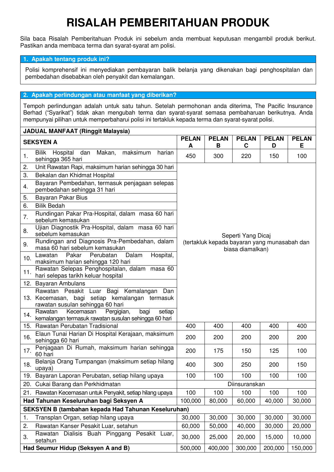## **RISALAH PEMBERITAHUAN PRODUK**

Sila baca Risalah Pemberitahuan Produk ini sebelum anda membuat keputusan mengambil produk berikut. Pastikan anda membaca terma dan syarat-syarat am polisi.

#### **1. Apakah tentang produk ini?**

Polisi komprehensif ini menyediakan pembayaran balik belanja yang dikenakan bagi penghospitalan dan pembedahan disebabkan oleh penyakit dan kemalangan.

#### **2. Apakah perlindungan atau manfaat yang diberikan?**

Tempoh perlindungan adalah untuk satu tahun. Setelah permohonan anda diterima, The Pacific Insurance Berhad ("Syarikat") tidak akan mengubah terma dan syarat-syarat semasa pembaharuan berikutnya. Anda mempunyai pilihan untuk memperbaharui polisi ini tertakluk kepada terma dan syarat-syarat polisi.

|     | <b>JADUAL MANFAAT (Ringgit Malaysia)</b>                                                                                          |                   |                                              |                    |                   |                    |
|-----|-----------------------------------------------------------------------------------------------------------------------------------|-------------------|----------------------------------------------|--------------------|-------------------|--------------------|
|     | <b>SEKSYEN A</b>                                                                                                                  | <b>PELAN</b><br>A | <b>PELAN</b><br>B                            | <b>PELAN</b><br>C  | <b>PELAN</b><br>D | <b>PELAN</b><br>Е. |
| -1. | maksimum<br><b>Bilik</b><br>Hospital<br>dan<br>Makan,<br>harian<br>sehingga 365 hari                                              | 450               | 300                                          | 220                | 150               | 100                |
| 2.  | Unit Rawatan Rapi, maksimum harian sehingga 30 hari                                                                               |                   |                                              |                    |                   |                    |
| 3.  | Bekalan dan Khidmat Hospital                                                                                                      |                   |                                              |                    |                   |                    |
| 4.  | Bayaran Pembedahan, termasuk penjagaan selepas<br>pembedahan sehingga 31 hari                                                     |                   |                                              |                    |                   |                    |
| 5.  | Bayaran Pakar Bius                                                                                                                |                   |                                              |                    |                   |                    |
| 6.  | <b>Bilik Bedah</b>                                                                                                                |                   |                                              |                    |                   |                    |
| 7.  | Rundingan Pakar Pra-Hospital, dalam masa 60 hari<br>sebelum kemasukan                                                             |                   |                                              |                    |                   |                    |
| 8.  | Ujian Diagnostik Pra-Hospital, dalam masa 60 hari<br>sebelum kemasukan                                                            |                   |                                              | Seperti Yang Dicaj |                   |                    |
| 9.  | Rundingan and Diagnosis Pra-Pembedahan, dalam<br>masa 60 hari sebelum kemasukan                                                   |                   | (tertakluk kepada bayaran yang munasabah dan | biasa diamalkan)   |                   |                    |
| 10. | Pakar<br>Perubatan<br>Dalam<br>Hospital,<br>Lawatan<br>maksimum harian sehingga 120 hari                                          |                   |                                              |                    |                   |                    |
| 11. | Rawatan Selepas Penghospitalan, dalam masa 60<br>hari selepas tarikh keluar hospital                                              |                   |                                              |                    |                   |                    |
| 12. | Bayaran Ambulans                                                                                                                  |                   |                                              |                    |                   |                    |
|     | Rawatan Pesakit Luar Bagi Kemalangan<br>Dan<br>13. Kecemasan, bagi setiap kemalangan termasuk<br>rawatan susulan sehingga 60 hari |                   |                                              |                    |                   |                    |
| 14. | Kecemasan<br>Pergigian,<br>bagi<br>Rawatan<br>setiap<br>kemalangan termasuk rawatan susulan sehingga 60 hari                      |                   |                                              |                    |                   |                    |
|     | 15. Rawatan Perubatan Tradisional                                                                                                 | 400               | 400                                          | 400                | 400               | 400                |
| 16. | Elaun Tunai Harian Di Hospital Kerajaan, maksimum<br>sehingga 60 hari                                                             | 200               | 200                                          | 200                | 200               | 200                |
| 17. | Penjagaan Di Rumah, maksimum harian sehingga<br>60 hari                                                                           | 200               | 175                                          | 150                | 125               | 100                |
| 18. | Belanja Orang Tumpangan (maksimum setiap hilang<br>upaya)                                                                         | 400               | 300                                          | 250                | 200               | 150                |
|     | 19. Bayaran Laporan Perubatan, setiap hilang upaya                                                                                | 100               | 100                                          | 100                | 100               | 100                |
|     | 20. Cukai Barang dan Perkhidmatan                                                                                                 |                   |                                              | Diinsuranskan      |                   |                    |
| 21. | Rawatan Kecemasan untuk Penyakit, setiap hilang upaya                                                                             | 100               | 100                                          | 100                | 100               | 100                |
|     | Had Tahunan Keseluruhan bagi Seksyen A                                                                                            | 100,000           | 80,000                                       | 60,000             | 40,000            | 30,000             |
|     | SEKSYEN B (tambahan kepada Had Tahunan Keseluruhan)                                                                               |                   |                                              |                    |                   |                    |
| 1.  | Transplan Organ, setiap hilang upaya                                                                                              | 30,000            | 30,000                                       | 30,000             | 30,000            | 30,000             |
| 2.  | Rawatan Kanser Pesakit Luar, setahun                                                                                              | 60,000            | 50,000                                       | 40,000             | 30,000            | 20,000             |
| 3.  | Dialisis Buah Pinggang Pesakit Luar,<br>Rawatan<br>setahun                                                                        | 30,000            | 25,000                                       | 20,000             | 15,000            | 10,000             |
|     | Had Seumur Hidup (Seksyen A and B)                                                                                                | 500,000           | 400,000                                      | 300,000            | 200,000           | 150,000            |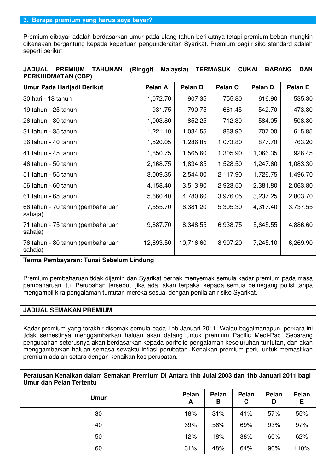Premium dibayar adalah berdasarkan umur pada ulang tahun berikutnya tetapi premium beban mungkin dikenakan bergantung kepada keperluan pengunderaitan Syarikat. Premium bagi risiko standard adalah seperti berikut:

### **JADUAL PREMIUM TAHUNAN (Ringgit Malaysia) TERMASUK CUKAI BARANG DAN PERKHIDMATAN (CBP)**

| Umur Pada Harijadi Berikut                                                                  | Pelan A   | Pelan B   | Pelan C  | <b>Pelan D</b> | <b>Pelan E</b> |  |
|---------------------------------------------------------------------------------------------|-----------|-----------|----------|----------------|----------------|--|
| 30 hari - 18 tahun                                                                          | 1,072.70  | 907.35    | 755.80   | 616.90         | 535.30         |  |
| 19 tahun - 25 tahun                                                                         | 931.75    | 790.75    | 661.45   | 542.70         | 473.80         |  |
| 26 tahun - 30 tahun                                                                         | 1,003.80  | 852.25    | 712.30   | 584.05         | 508.80         |  |
| 31 tahun - 35 tahun                                                                         | 1,221.10  | 1,034.55  | 863.90   | 707.00         | 615.85         |  |
| 36 tahun - 40 tahun                                                                         | 1,520.05  | 1,286.85  | 1,073.80 | 877.70         | 763.20         |  |
| 41 tahun - 45 tahun                                                                         | 1,850.75  | 1,565.60  | 1,305.90 | 1,066.35       | 926.45         |  |
| 46 tahun - 50 tahun                                                                         | 2,168.75  | 1,834.85  | 1,528.50 | 1,247.60       | 1,083.30       |  |
| 51 tahun - 55 tahun                                                                         | 3,009.35  | 2,544.00  | 2,117.90 | 1,726.75       | 1,496.70       |  |
| 56 tahun - 60 tahun                                                                         | 4,158.40  | 3,513.90  | 2,923.50 | 2,381.80       | 2,063.80       |  |
| 61 tahun - 65 tahun                                                                         | 5,660.40  | 4,780.60  | 3,976.05 | 3,237.25       | 2,803.70       |  |
| 66 tahun - 70 tahun (pembaharuan<br>sahaja)                                                 | 7,555.70  | 6,381.20  | 5,305.30 | 4,317.40       | 3,737.55       |  |
| 71 tahun - 75 tahun (pembaharuan<br>sahaja)                                                 | 9,887.70  | 8,348.55  | 6,938.75 | 5,645.55       | 4,886.60       |  |
| 76 tahun - 80 tahun (pembaharuan<br>sahaja)                                                 | 12,693.50 | 10,716.60 | 8,907.20 | 7,245.10       | 6,269.90       |  |
| The control of the characteristic control of the characteristic<br>The contract Property of |           |           |          |                |                |  |

#### **Terma Pembayaran: Tunai Sebelum Lindung**

Premium pembaharuan tidak dijamin dan Syarikat berhak menyemak semula kadar premium pada masa pembaharuan itu. Perubahan tersebut, jika ada, akan terpakai kepada semua pemegang polisi tanpa mengambil kira pengalaman tuntutan mereka sesuai dengan penilaian risiko Syarikat.

#### **JADUAL SEMAKAN PREMIUM**

Kadar premium yang terakhir disemak semula pada 1hb Januari 2011. Walau bagaimanapun, perkara ini tidak semestinya menggambarkan haluan akan datang untuk premium Pacific Medi-Pac. Sebarang pengubahan seterusnya akan berdasarkan kepada portfolio pengalaman keseluruhan tuntutan, dan akan menggambarkan haluan semasa sewaktu inflasi perubatan. Kenaikan premium perlu untuk memastikan premium adalah setara dengan kenaikan kos perubatan.

#### **Peratusan Kenaikan dalam Semakan Premium Di Antara 1hb Julai 2003 dan 1hb Januari 2011 bagi Umur dan Pelan Tertentu**

| <b>Umur</b> | Pelan<br>A | Pelan<br>B | Pelan<br>C | Pelan<br>D | Pelan<br>Е |
|-------------|------------|------------|------------|------------|------------|
| 30          | 18%        | 31%        | 41%        | 57%        | 55%        |
| 40          | 39%        | 56%        | 69%        | 93%        | 97%        |
| 50          | 12%        | 18%        | 38%        | 60%        | 62%        |
| 60          | 31%        | 48%        | 64%        | 90%        | 110%       |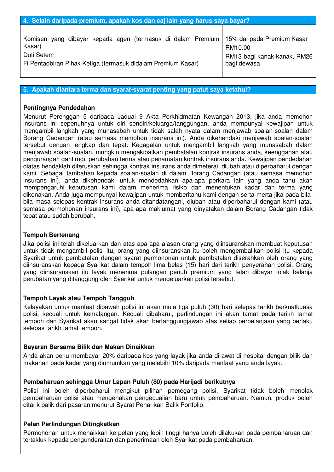| Komisen yang dibayar kepada agen (termasuk di dalam Premium   15% daripada Premium Kasar |                             |
|------------------------------------------------------------------------------------------|-----------------------------|
| Kasar)                                                                                   | RM10.00                     |
| Duti Setem                                                                               | RM13 bagi kanak-kanak, RM26 |
| Fi Pentadbiran Pihak Ketiga (termasuk didalam Premium Kasar)                             | bagi dewasa                 |

#### **5. Apakah diantara terma dan syarat-syarat penting yang patut saya ketahui?**

#### **Pentingnya Pendedahan**

Menurut Perenggan 5 daripada Jadual 9 Akta Perkhidmatan Kewangan 2013, jika anda memohon insurans ini sepenuhnya untuk diri sendiri/keluarga/tanggungan, anda mempunyai kewajipan untuk mengambil langkah yang munasabah untuk tidak salah nyata dalam menjawab soalan-soalan dalam Borang Cadangan (atau semasa memohon insurans ini). Anda dikehendaki menjawab soalan-soalan tersebut dengan lengkap dan tepat. Kegagalan untuk mengambil langkah yang munasabah dalam menjawab soalan-soalan, mungkin mengakibatkan pembatalan kontrak insurans anda, keengganan atau pengurangan gantirugi, perubahan terma atau penamatan kontrak insurans anda. Kewajipan pendedahan diatas hendaklah diteruskan sehingga kontrak insurans anda dimeterai, diubah atau diperbaharui dengan kami. Sebagai tambahan kepada soalan-soalan di dalam Borang Cadangan (atau semasa memohon insurans ini), anda dikehendaki untuk mendedahkan apa-apa perkara lain yang anda tahu akan mempengaruhi keputusan kami dalam menerima risiko dan menentukan kadar dan terma yang dikenakan. Anda juga mempunyai kewajipan untuk memberitahu kami dengan serta-merta jika pada bilabila masa selepas kontrak insurans anda ditandatangani, diubah atau diperbaharui dengan kami (atau semasa permohonan insurans ini), apa-apa maklumat yang dinyatakan dalam Borang Cadangan tidak tepat atau sudah berubah.

#### **Tempoh Bertenang**

Jika polisi ini telah dikeluarkan dan atas apa-apa alasan orang yang diinsuranskan membuat keputusan untuk tidak mengambil polisi itu, orang yang diinsuranskan itu boleh mengembalikan polisi itu kepada Syarikat untuk pembatalan dengan syarat permohonan untuk pembatalan diserahkan oleh orang yang diinsuranskan kepada Syarikat dalam tempoh lima belas (15) hari dari tarikh penyerahan polisi. Orang yang diinsuranskan itu layak menerima pulangan penuh premium yang telah dibayar tolak belanja perubatan yang ditanggung oleh Syarikat untuk mengeluarkan polisi tersebut.

#### **Tempoh Layak atau Tempoh Tangguh**

Kelayakan untuk manfaat dibawah polisi ini akan mula tiga puluh (30) hari selepas tarikh berkuatkuasa polisi, kecuali untuk kemalangan. Kecuali dibaharui, perlindungan ini akan tamat pada tarikh tamat tempoh dan Syarikat akan sangat tidak akan bertanggungjawab atas setiap perbelanjaan yang berlaku selepas tarikh tamat tempoh.

#### **Bayaran Bersama Bilik dan Makan Dinaikkan**

Anda akan perlu membayar 20% daripada kos yang layak jika anda dirawat di hospital dengan bilik dan makanan pada kadar yang diumumkan yang melebihi 10% daripada manfaat yang anda layak.

#### **Pembaharuan sehingga Umur Lapan Puluh (80) pada Harijadi berikutnya**

Polisi ini boleh diperbaharui mengikut pilihan pemegang polisi. Syarikat tidak boleh menolak pembaharuan polisi atau mengenakan pengecualian baru untuk pembaharuan. Namun, produk boleh ditarik balik dari pasaran menurut Syarat Penarikan Balik Portfolio.

#### **Pelan Perlindungan Ditingkatkan**

Permohonan untuk menaikkan ke pelan yang lebih tinggi hanya boleh dilakukan pada pembaharuan dan tertakluk kepada pengunderaitan dan penerimaan oleh Syarikat pada pembaharuan.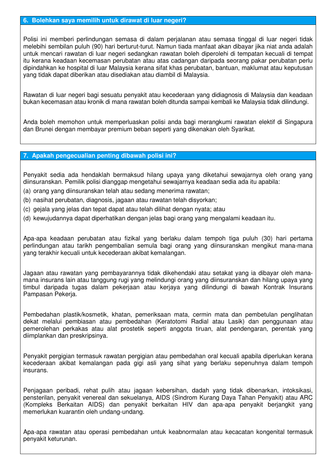#### **6. Bolehkan saya memilih untuk dirawat di luar negeri?**

Polisi ini memberi perlindungan semasa di dalam perjalanan atau semasa tinggal di luar negeri tidak melebihi sembilan puluh (90) hari berturut-turut. Namun tiada manfaat akan dibayar jika niat anda adalah untuk mencari rawatan di luar negeri sedangkan rawatan boleh diperolehi di tempatan kecuali di tempat itu kerana keadaan kecemasan perubatan atau atas cadangan daripada seorang pakar perubatan perlu dipindahkan ke hospital di luar Malaysia kerana sifat khas perubatan, bantuan, maklumat atau keputusan yang tidak dapat diberikan atau disediakan atau diambil di Malaysia.

Rawatan di luar negeri bagi sesuatu penyakit atau kecederaan yang didiagnosis di Malaysia dan keadaan bukan kecemasan atau kronik di mana rawatan boleh ditunda sampai kembali ke Malaysia tidak dilindungi.

Anda boleh memohon untuk memperluaskan polisi anda bagi merangkumi rawatan elektif di Singapura dan Brunei dengan membayar premium beban seperti yang dikenakan oleh Syarikat.

#### **7. Apakah pengecualian penting dibawah polisi ini?**

Penyakit sedia ada hendaklah bermaksud hilang upaya yang diketahui sewajarnya oleh orang yang diinsuranskan. Pemilik polisi dianggap mengetahui sewajarnya keadaan sedia ada itu apabila:

- (a) orang yang diinsuranskan telah atau sedang menerima rawatan;
- (b) nasihat perubatan, diagnosis, jagaan atau rawatan telah disyorkan;
- (c) gejala yang jelas dan tepat dapat atau telah dilihat dengan nyata; atau
- (d) kewujudannya dapat diperhatikan dengan jelas bagi orang yang mengalami keadaan itu.

Apa-apa keadaan perubatan atau fizikal yang berlaku dalam tempoh tiga puluh (30) hari pertama perlindungan atau tarikh pengembalian semula bagi orang yang diinsuranskan mengikut mana-mana yang terakhir kecuali untuk kecederaan akibat kemalangan.

Jagaan atau rawatan yang pembayarannya tidak dikehendaki atau setakat yang ia dibayar oleh manamana insurans lain atau tanggung rugi yang melindungi orang yang diinsuranskan dan hilang upaya yang timbul daripada tugas dalam pekerjaan atau kerjaya yang dilindungi di bawah Kontrak Insurans Pampasan Pekerja.

Pembedahan plastik/kosmetik, khatan, pemeriksaan mata, cermin mata dan pembetulan penglihatan dekat melalui pembiasan atau pembedahan (Keratotomi Radial atau Lasik) dan penggunaan atau pemerolehan perkakas atau alat prostetik seperti anggota tiruan, alat pendengaran, perentak yang diimplankan dan preskripsinya.

Penyakit pergigian termasuk rawatan pergigian atau pembedahan oral kecuali apabila diperlukan kerana kecederaan akibat kemalangan pada gigi asli yang sihat yang berlaku sepenuhnya dalam tempoh insurans.

Penjagaan peribadi, rehat pulih atau jagaan kebersihan, dadah yang tidak dibenarkan, intoksikasi, pensterilan, penyakit venereal dan sekuelanya, AIDS (Sindrom Kurang Daya Tahan Penyakit) atau ARC (Kompleks Berkaitan AIDS) dan penyakit berkaitan HIV dan apa-apa penyakit berjangkit yang memerlukan kuarantin oleh undang-undang.

Apa-apa rawatan atau operasi pembedahan untuk keabnormalan atau kecacatan kongenital termasuk penyakit keturunan.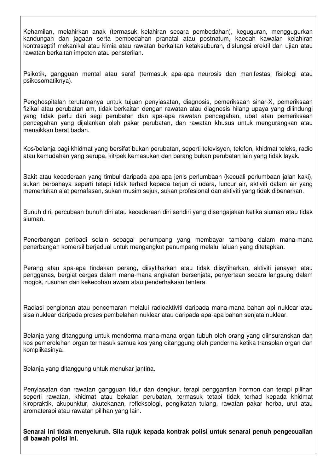Kehamilan, melahirkan anak (termasuk kelahiran secara pembedahan), keguguran, menggugurkan kandungan dan jagaan serta pembedahan pranatal atau postnatum, kaedah kawalan kelahiran kontraseptif mekanikal atau kimia atau rawatan berkaitan ketaksuburan, disfungsi erektil dan ujian atau rawatan berkaitan impoten atau pensterilan.

Psikotik, gangguan mental atau saraf (termasuk apa-apa neurosis dan manifestasi fisiologi atau psikosomatiknya).

Penghospitalan terutamanya untuk tujuan penyiasatan, diagnosis, pemeriksaan sinar-X, pemeriksaan fizikal atau perubatan am, tidak berkaitan dengan rawatan atau diagnosis hilang upaya yang dilindungi yang tidak perlu dari segi perubatan dan apa-apa rawatan pencegahan, ubat atau pemeriksaan pencegahan yang dijalankan oleh pakar perubatan, dan rawatan khusus untuk mengurangkan atau menaikkan berat badan.

Kos/belanja bagi khidmat yang bersifat bukan perubatan, seperti televisyen, telefon, khidmat teleks, radio atau kemudahan yang serupa, kit/pek kemasukan dan barang bukan perubatan lain yang tidak layak.

Sakit atau kecederaan yang timbul daripada apa-apa jenis perlumbaan (kecuali perlumbaan jalan kaki), sukan berbahaya seperti tetapi tidak terhad kepada terjun di udara, luncur air, aktiviti dalam air yang memerlukan alat pernafasan, sukan musim sejuk, sukan profesional dan aktiviti yang tidak dibenarkan.

Bunuh diri, percubaan bunuh diri atau kecederaan diri sendiri yang disengajakan ketika siuman atau tidak siuman.

Penerbangan peribadi selain sebagai penumpang yang membayar tambang dalam mana-mana penerbangan komersil berjadual untuk mengangkut penumpang melalui laluan yang ditetapkan.

Perang atau apa-apa tindakan perang, diisytiharkan atau tidak diisytiharkan, aktiviti jenayah atau pengganas, bergiat cergas dalam mana-mana angkatan bersenjata, penyertaan secara langsung dalam mogok, rusuhan dan kekecohan awam atau penderhakaan tentera.

Radiasi pengionan atau pencemaran melalui radioaktiviti daripada mana-mana bahan api nuklear atau sisa nuklear daripada proses pembelahan nuklear atau daripada apa-apa bahan senjata nuklear.

Belanja yang ditanggung untuk menderma mana-mana organ tubuh oleh orang yang diinsuranskan dan kos pemerolehan organ termasuk semua kos yang ditanggung oleh penderma ketika transplan organ dan komplikasinya.

Belanja yang ditanggung untuk menukar jantina.

Penyiasatan dan rawatan gangguan tidur dan dengkur, terapi penggantian hormon dan terapi pilihan seperti rawatan, khidmat atau bekalan perubatan, termasuk tetapi tidak terhad kepada khidmat kiropraktik, akupunktur, akutekanan, refleksologi, pengikatan tulang, rawatan pakar herba, urut atau aromaterapi atau rawatan pilihan yang lain.

**Senarai ini tidak menyeluruh. Sila rujuk kepada kontrak polisi untuk senarai penuh pengecualian di bawah polisi ini.**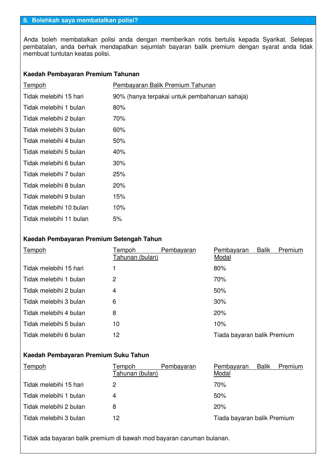Anda boleh membatalkan polisi anda dengan memberikan notis bertulis kepada Syarikat. Selepas pembatalan, anda berhak mendapatkan sejumlah bayaran balik premium dengan syarat anda tidak membuat tuntutan keatas polisi.

#### **Kaedah Pembayaran Premium Tahunan**

| Tempoh                  | Pembayaran Balik Premium Tahunan              |
|-------------------------|-----------------------------------------------|
| Tidak melebihi 15 hari  | 90% (hanya terpakai untuk pembaharuan sahaja) |
| Tidak melebihi 1 bulan  | 80%                                           |
| Tidak melebihi 2 bulan  | 70%                                           |
| Tidak melebihi 3 bulan  | $60\%$                                        |
| Tidak melebihi 4 bulan  | $50\%$                                        |
| Tidak melebihi 5 bulan  | 40%                                           |
| Tidak melebihi 6 bulan  | $30\%$                                        |
| Tidak melebihi 7 bulan  | 25%                                           |
| Tidak melebihi 8 bulan  | $20\%$                                        |
| Tidak melebihi 9 bulan  | 15%                                           |
| Tidak melebihi 10 bulan | 10%                                           |
| Tidak melebihi 11 bulan | 5%                                            |

#### **Kaedah Pembayaran Premium Setengah Tahun**

| Tempoh                 | Tempoh<br>Tahunan (bulan) | Pembayaran | Pembayaran<br>Modal         | <b>Balik</b> | Premium |
|------------------------|---------------------------|------------|-----------------------------|--------------|---------|
| Tidak melebihi 15 hari |                           |            | 80%                         |              |         |
| Tidak melebihi 1 bulan | 2                         |            | 70%                         |              |         |
| Tidak melebihi 2 bulan | 4                         |            | 50%                         |              |         |
| Tidak melebihi 3 bulan | 6                         |            | 30%                         |              |         |
| Tidak melebihi 4 bulan | 8                         |            | 20%                         |              |         |
| Tidak melebihi 5 bulan | 10                        |            | 10%                         |              |         |
| Tidak melebihi 6 bulan | 12                        |            | Tiada bayaran balik Premium |              |         |

### **Kaedah Pembayaran Premium Suku Tahun**

| Tempoh                 | Tempoh<br>Tahunan (bulan) | Pembayaran | Pembayaran<br>Modal         | <b>Balik</b> | Premium |
|------------------------|---------------------------|------------|-----------------------------|--------------|---------|
| Tidak melebihi 15 hari | 2                         |            | 70%                         |              |         |
| Tidak melebihi 1 bulan | 4                         |            | 50%                         |              |         |
| Tidak melebihi 2 bulan | 8                         |            | 20%                         |              |         |
| Tidak melebihi 3 bulan | 12                        |            | Tiada bayaran balik Premium |              |         |

Tidak ada bayaran balik premium di bawah mod bayaran caruman bulanan.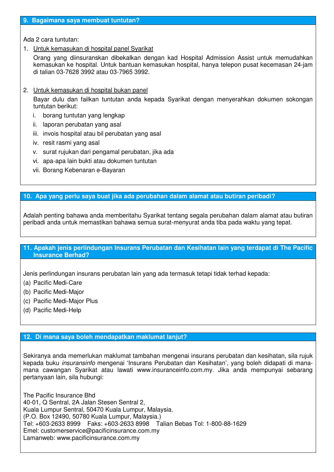#### **9. Bagaimana saya membuat tuntutan?**

Ada 2 cara tuntutan:

1. Untuk kemasukan di hospital panel Syarikat

Orang yang diinsuranskan dibekalkan dengan kad Hospital Admission Assist untuk memudahkan kemasukan ke hospital. Untuk bantuan kemasukan hospital, hanya telepon pusat kecemasan 24-jam di talian 03-7628 3992 atau 03-7965 3992.

2. Untuk kemasukan di hospital bukan panel

Bayar dulu dan failkan tuntutan anda kepada Syarikat dengan menyerahkan dokumen sokongan tuntutan berikut:

- i. borang tuntutan yang lengkap
- ii. laporan perubatan yang asal
- iii. invois hospital atau bil perubatan yang asal
- iv. resit rasmi yang asal
- v. surat rujukan dari pengamal perubatan, jika ada
- vi. apa-apa lain bukti atau dokumen tuntutan
- vii. Borang Kebenaran e-Bayaran

#### **10. Apa yang perlu saya buat jika ada perubahan dalam alamat atau butiran peribadi?**

Adalah penting bahawa anda memberitahu Syarikat tentang segala perubahan dalam alamat atau butiran peribadi anda untuk memastikan bahawa semua surat-menyurat anda tiba pada waktu yang tepat.

#### **11. Apakah jenis perlindungan Insurans Perubatan dan Kesihatan lain yang terdapat di The Pacific Insurance Berhad?**

Jenis perlindungan insurans perubatan lain yang ada termasuk tetapi tidak terhad kepada:

- (a) Pacific Medi-Care
- (b) Pacific Medi-Major
- (c) Pacific Medi-Major Plus
- (d) Pacific Medi-Help

#### **12. Di mana saya boleh mendapatkan maklumat lanjut?**

Sekiranya anda memerlukan maklumat tambahan mengenai insurans perubatan dan kesihatan, sila rujuk kepada buku insuransinfo mengenai 'Insurans Perubatan dan Kesihatan', yang boleh didapati di manamana cawangan Syarikat atau lawati www.insuranceinfo.com.my. Jika anda mempunyai sebarang pertanyaan lain, sila hubungi:

The Pacific Insurance Bhd 40-01, Q Sentral, 2A Jalan Stesen Sentral 2, Kuala Lumpur Sentral, 50470 Kuala Lumpur, Malaysia. (P.O. Box 12490, 50780 Kuala Lumpur, Malaysia.) Tel: +603-2633 8999 Faks: +603-2633 8998 Talian Bebas Tol: 1-800-88-1629 Emel: customerservice@pacificinsurance.com.my Lamanweb: www.pacificinsurance.com.my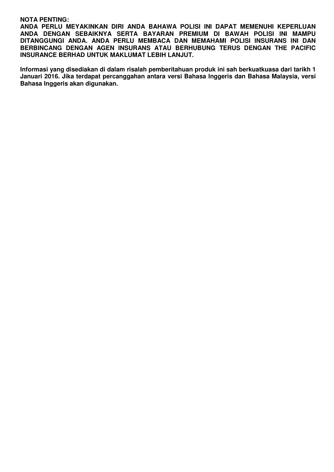#### **NOTA PENTING:**

**ANDA PERLU MEYAKINKAN DIRI ANDA BAHAWA POLISI INI DAPAT MEMENUHI KEPERLUAN ANDA DENGAN SEBAIKNYA SERTA BAYARAN PREMIUM DI BAWAH POLISI INI MAMPU DITANGGUNGI ANDA. ANDA PERLU MEMBACA DAN MEMAHAMI POLISI INSURANS INI DAN BERBINCANG DENGAN AGEN INSURANS ATAU BERHUBUNG TERUS DENGAN THE PACIFIC INSURANCE BERHAD UNTUK MAKLUMAT LEBIH LANJUT.** 

**Informasi yang disediakan di dalam risalah pemberitahuan produk ini sah berkuatkuasa dari tarikh 1 Januari 2016. Jika terdapat percanggahan antara versi Bahasa Inggeris dan Bahasa Malaysia, versi Bahasa Inggeris akan digunakan.**